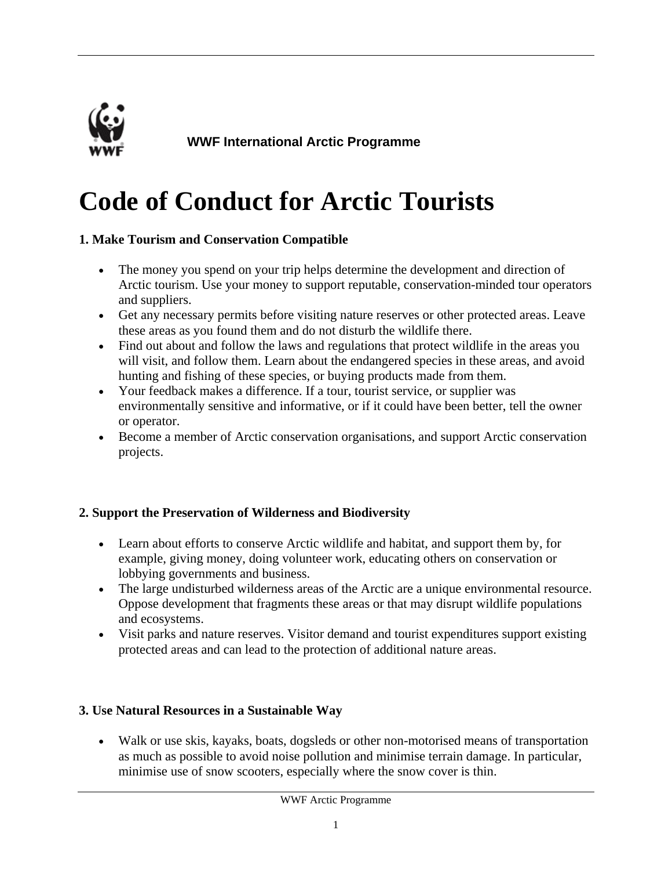

**WWF International Arctic Programme**

# **Code of Conduct for Arctic Tourists**

# **1. Make Tourism and Conservation Compatible**

- The money you spend on your trip helps determine the development and direction of Arctic tourism. Use your money to support reputable, conservation-minded tour operators and suppliers.
- Get any necessary permits before visiting nature reserves or other protected areas. Leave these areas as you found them and do not disturb the wildlife there.
- Find out about and follow the laws and regulations that protect wildlife in the areas you will visit, and follow them. Learn about the endangered species in these areas, and avoid hunting and fishing of these species, or buying products made from them.
- Your feedback makes a difference. If a tour, tourist service, or supplier was environmentally sensitive and informative, or if it could have been better, tell the owner or operator.
- Become a member of Arctic conservation organisations, and support Arctic conservation projects.

#### **2. Support the Preservation of Wilderness and Biodiversity**

- Learn about efforts to conserve Arctic wildlife and habitat, and support them by, for example, giving money, doing volunteer work, educating others on conservation or lobbying governments and business.
- The large undisturbed wilderness areas of the Arctic are a unique environmental resource. Oppose development that fragments these areas or that may disrupt wildlife populations and ecosystems.
- Visit parks and nature reserves. Visitor demand and tourist expenditures support existing protected areas and can lead to the protection of additional nature areas.

# **3. Use Natural Resources in a Sustainable Way**

• Walk or use skis, kayaks, boats, dogsleds or other non-motorised means of transportation as much as possible to avoid noise pollution and minimise terrain damage. In particular, minimise use of snow scooters, especially where the snow cover is thin.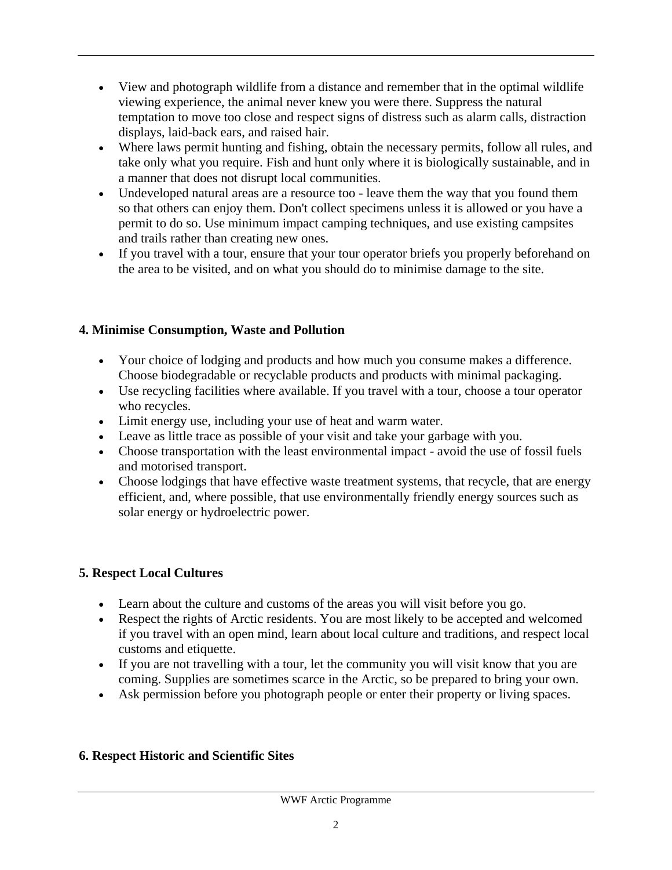- View and photograph wildlife from a distance and remember that in the optimal wildlife viewing experience, the animal never knew you were there. Suppress the natural temptation to move too close and respect signs of distress such as alarm calls, distraction displays, laid-back ears, and raised hair.
- Where laws permit hunting and fishing, obtain the necessary permits, follow all rules, and take only what you require. Fish and hunt only where it is biologically sustainable, and in a manner that does not disrupt local communities.
- Undeveloped natural areas are a resource too leave them the way that you found them so that others can enjoy them. Don't collect specimens unless it is allowed or you have a permit to do so. Use minimum impact camping techniques, and use existing campsites and trails rather than creating new ones.
- If you travel with a tour, ensure that your tour operator briefs you properly beforehand on the area to be visited, and on what you should do to minimise damage to the site.

# **4. Minimise Consumption, Waste and Pollution**

- Your choice of lodging and products and how much you consume makes a difference. Choose biodegradable or recyclable products and products with minimal packaging.
- Use recycling facilities where available. If you travel with a tour, choose a tour operator who recycles.
- Limit energy use, including your use of heat and warm water.
- Leave as little trace as possible of your visit and take your garbage with you.
- Choose transportation with the least environmental impact avoid the use of fossil fuels and motorised transport.
- Choose lodgings that have effective waste treatment systems, that recycle, that are energy efficient, and, where possible, that use environmentally friendly energy sources such as solar energy or hydroelectric power.

# **5. Respect Local Cultures**

- Learn about the culture and customs of the areas you will visit before you go.
- Respect the rights of Arctic residents. You are most likely to be accepted and welcomed if you travel with an open mind, learn about local culture and traditions, and respect local customs and etiquette.
- If you are not travelling with a tour, let the community you will visit know that you are coming. Supplies are sometimes scarce in the Arctic, so be prepared to bring your own.
- Ask permission before you photograph people or enter their property or living spaces.

# **6. Respect Historic and Scientific Sites**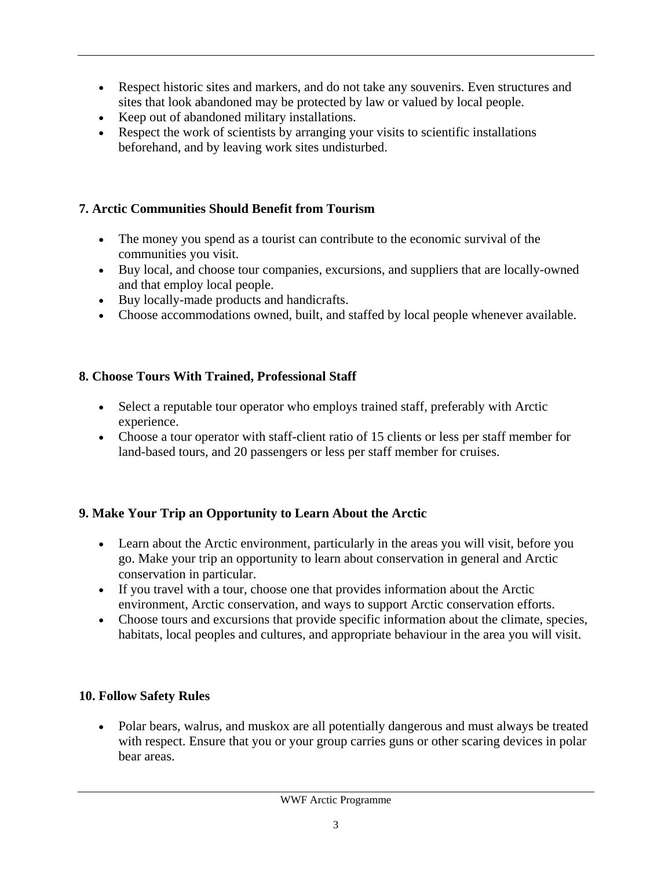- Respect historic sites and markers, and do not take any souvenirs. Even structures and sites that look abandoned may be protected by law or valued by local people.
- Keep out of abandoned military installations.
- Respect the work of scientists by arranging your visits to scientific installations beforehand, and by leaving work sites undisturbed.

# **7. Arctic Communities Should Benefit from Tourism**

- The money you spend as a tourist can contribute to the economic survival of the communities you visit.
- Buy local, and choose tour companies, excursions, and suppliers that are locally-owned and that employ local people.
- Buy locally-made products and handicrafts.
- Choose accommodations owned, built, and staffed by local people whenever available.

# **8. Choose Tours With Trained, Professional Staff**

- Select a reputable tour operator who employs trained staff, preferably with Arctic experience.
- Choose a tour operator with staff-client ratio of 15 clients or less per staff member for land-based tours, and 20 passengers or less per staff member for cruises.

# **9. Make Your Trip an Opportunity to Learn About the Arctic**

- Learn about the Arctic environment, particularly in the areas you will visit, before you go. Make your trip an opportunity to learn about conservation in general and Arctic conservation in particular.
- If you travel with a tour, choose one that provides information about the Arctic environment, Arctic conservation, and ways to support Arctic conservation efforts.
- Choose tours and excursions that provide specific information about the climate, species, habitats, local peoples and cultures, and appropriate behaviour in the area you will visit.

# **10. Follow Safety Rules**

• Polar bears, walrus, and muskox are all potentially dangerous and must always be treated with respect. Ensure that you or your group carries guns or other scaring devices in polar bear areas.